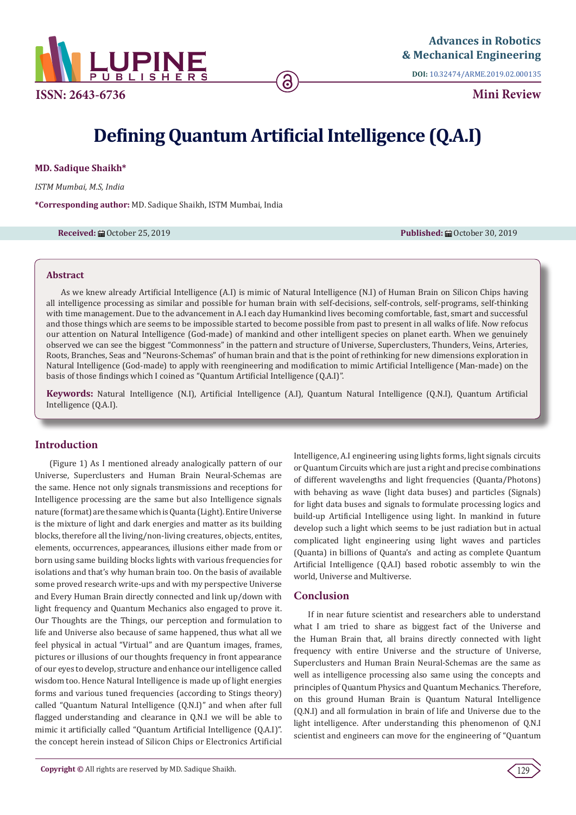

**DOI:** [10.32474/ARME.2019.02.000135](http://dx.doi.org/10.32474/ARME.2019.02.000135)

**Mini Review**

# **Defining Quantum Artificial Intelligence (Q.A.I)**

**MD. Sadique Shaikh\***

*ISTM Mumbai, M.S, India*

**\*Corresponding author:** MD. Sadique Shaikh, ISTM Mumbai, India

**Received:** October 25, 2019 **Published:** October 30, 2019

#### **Abstract**

As we knew already Artificial Intelligence (A.I) is mimic of Natural Intelligence (N.I) of Human Brain on Silicon Chips having all intelligence processing as similar and possible for human brain with self-decisions, self-controls, self-programs, self-thinking with time management. Due to the advancement in A.I each day Humankind lives becoming comfortable, fast, smart and successful and those things which are seems to be impossible started to become possible from past to present in all walks of life. Now refocus our attention on Natural Intelligence (God-made) of mankind and other intelligent species on planet earth. When we genuinely observed we can see the biggest "Commonness" in the pattern and structure of Universe, Superclusters, Thunders, Veins, Arteries, Roots, Branches, Seas and "Neurons-Schemas" of human brain and that is the point of rethinking for new dimensions exploration in Natural Intelligence (God-made) to apply with reengineering and modification to mimic Artificial Intelligence (Man-made) on the basis of those findings which I coined as "Quantum Artificial Intelligence (Q.A.I)".

**Keywords:** Natural Intelligence (N.I), Artificial Intelligence (A.I), Quantum Natural Intelligence (Q.N.I), Quantum Artificial Intelligence (Q.A.I).

# **Introduction**

(Figure 1) As I mentioned already analogically pattern of our Universe, Superclusters and Human Brain Neural-Schemas are the same. Hence not only signals transmissions and receptions for Intelligence processing are the same but also Intelligence signals nature (format) are the same which is Quanta (Light). Entire Universe is the mixture of light and dark energies and matter as its building blocks, therefore all the living/non-living creatures, objects, entites, elements, occurrences, appearances, illusions either made from or born using same building blocks lights with various frequencies for isolations and that's why human brain too. On the basis of available some proved research write-ups and with my perspective Universe and Every Human Brain directly connected and link up/down with light frequency and Quantum Mechanics also engaged to prove it. Our Thoughts are the Things, our perception and formulation to life and Universe also because of same happened, thus what all we feel physical in actual "Virtual" and are Quantum images, frames, pictures or illusions of our thoughts frequency in front appearance of our eyes to develop, structure and enhance our intelligence called wisdom too. Hence Natural Intelligence is made up of light energies forms and various tuned frequencies (according to Stings theory) called "Quantum Natural Intelligence (Q.N.I)" and when after full flagged understanding and clearance in Q.N.I we will be able to mimic it artificially called "Quantum Artificial Intelligence (Q.A.I)". the concept herein instead of Silicon Chips or Electronics Artificial

Intelligence, A.I engineering using lights forms, light signals circuits or Quantum Circuits which are just a right and precise combinations of different wavelengths and light frequencies (Quanta/Photons) with behaving as wave (light data buses) and particles (Signals) for light data buses and signals to formulate processing logics and build-up Artificial Intelligence using light. In mankind in future develop such a light which seems to be just radiation but in actual complicated light engineering using light waves and particles (Quanta) in billions of Quanta's and acting as complete Quantum Artificial Intelligence (Q.A.I) based robotic assembly to win the world, Universe and Multiverse.

## **Conclusion**

If in near future scientist and researchers able to understand what I am tried to share as biggest fact of the Universe and the Human Brain that, all brains directly connected with light frequency with entire Universe and the structure of Universe, Superclusters and Human Brain Neural-Schemas are the same as well as intelligence processing also same using the concepts and principles of Quantum Physics and Quantum Mechanics. Therefore, on this ground Human Brain is Quantum Natural Intelligence (Q.N.I) and all formulation in brain of life and Universe due to the light intelligence. After understanding this phenomenon of Q.N.I scientist and engineers can move for the engineering of "Quantum